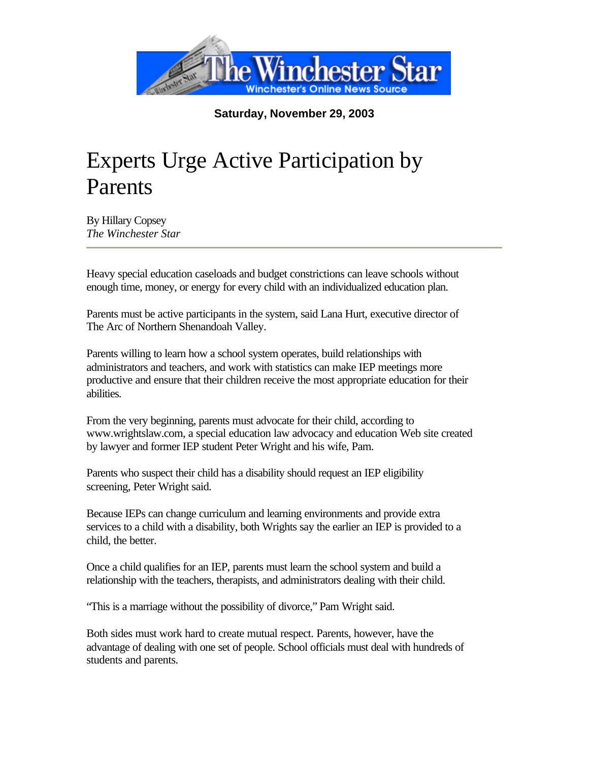

**Saturday, November 29, 2003**

## Experts Urge Active Participation by Parents

By Hillary Copsey *The Winchester Star*

Heavy special education caseloads and budget constrictions can leave schools without enough time, money, or energy for every child with an individualized education plan.

Parents must be active participants in the system, said Lana Hurt, executive director of The Arc of Northern Shenandoah Valley.

Parents willing to learn how a school system operates, build relationships with administrators and teachers, and work with statistics can make IEP meetings more productive and ensure that their children receive the most appropriate education for their abilities.

From the very beginning, parents must advocate for their child, according to www.wrightslaw.com, a special education law advocacy and education Web site created by lawyer and former IEP student Peter Wright and his wife, Pam.

Parents who suspect their child has a disability should request an IEP eligibility screening, Peter Wright said.

Because IEPs can change curriculum and learning environments and provide extra services to a child with a disability, both Wrights say the earlier an IEP is provided to a child, the better.

Once a child qualifies for an IEP, parents must learn the school system and build a relationship with the teachers, therapists, and administrators dealing with their child.

"This is a marriage without the possibility of divorce," Pam Wright said.

Both sides must work hard to create mutual respect. Parents, however, have the advantage of dealing with one set of people. School officials must deal with hundreds of students and parents.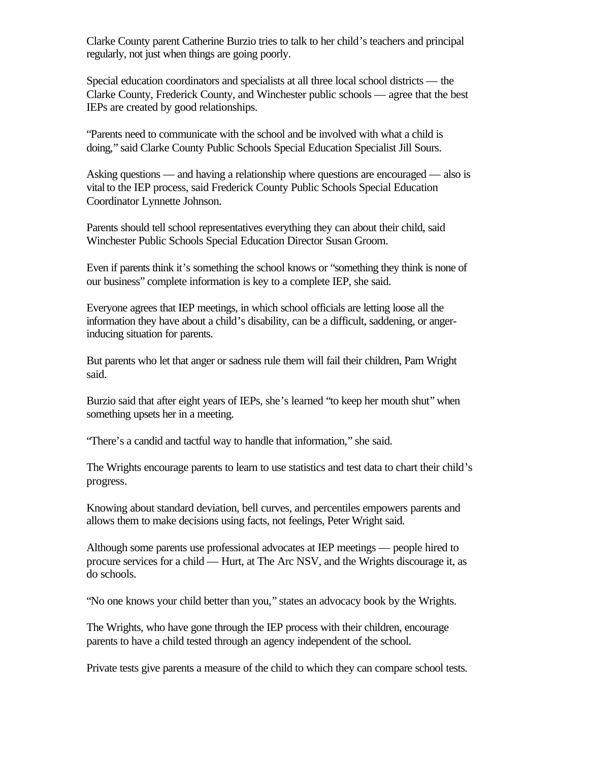Clarke County parent Catherine Burzio tries to talk to her child's teachers and principal regularly, not just when things are going poorly.

Special education coordinators and specialists at all three local school districts — the Clarke County, Frederick County, and Winchester public schools — agree that the best IEPs are created by good relationships.

"Parents need to communicate with the school and be involved with what a child is doing," said Clarke County Public Schools Special Education Specialist Jill Sours.

Asking questions — and having a relationship where questions are encouraged — also is vital to the IEP process, said Frederick County Public Schools Special Education Coordinator Lynnette Johnson.

Parents should tell school representatives everything they can about their child, said Winchester Public Schools Special Education Director Susan Groom.

Even if parents think it's something the school knows or "something they think is none of our business" complete information is key to a complete IEP, she said.

Everyone agrees that IEP meetings, in which school officials are letting loose all the information they have about a child's disability, can be a difficult, saddening, or angerinducing situation for parents.

But parents who let that anger or sadness rule them will fail their children, Pam Wright said.

Burzio said that after eight years of IEPs, she's learned "to keep her mouth shut" when something upsets her in a meeting.

"There's a candid and tactful way to handle that information," she said.

The Wrights encourage parents to learn to use statistics and test data to chart their child's progress.

Knowing about standard deviation, bell curves, and percentiles empowers parents and allows them to make decisions using facts, not feelings, Peter Wright said.

Although some parents use professional advocates at IEP meetings — people hired to procure services for a child — Hurt, at The Arc NSV, and the Wrights discourage it, as do schools.

"No one knows your child better than you," states an advocacy book by the Wrights.

The Wrights, who have gone through the IEP process with their children, encourage parents to have a child tested through an agency independent of the school.

Private tests give parents a measure of the child to which they can compare school tests.